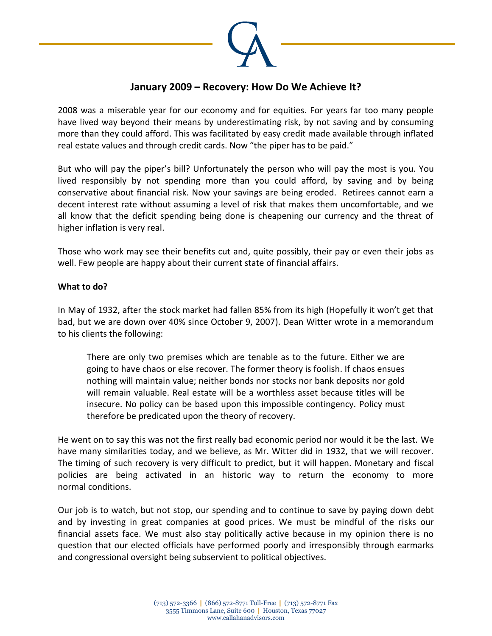

## **January 2009 – Recovery: How Do We Achieve It?**

2008 was a miserable year for our economy and for equities. For years far too many people have lived way beyond their means by underestimating risk, by not saving and by consuming more than they could afford. This was facilitated by easy credit made available through inflated real estate values and through credit cards. Now "the piper has to be paid."

But who will pay the piper's bill? Unfortunately the person who will pay the most is you. You lived responsibly by not spending more than you could afford, by saving and by being conservative about financial risk. Now your savings are being eroded. Retirees cannot earn a decent interest rate without assuming a level of risk that makes them uncomfortable, and we all know that the deficit spending being done is cheapening our currency and the threat of higher inflation is very real.

Those who work may see their benefits cut and, quite possibly, their pay or even their jobs as well. Few people are happy about their current state of financial affairs.

## **What to do?**

In May of 1932, after the stock market had fallen 85% from its high (Hopefully it won't get that bad, but we are down over 40% since October 9, 2007). Dean Witter wrote in a memorandum to his clients the following:

There are only two premises which are tenable as to the future. Either we are going to have chaos or else recover. The former theory is foolish. If chaos ensues nothing will maintain value; neither bonds nor stocks nor bank deposits nor gold will remain valuable. Real estate will be a worthless asset because titles will be insecure. No policy can be based upon this impossible contingency. Policy must therefore be predicated upon the theory of recovery.

He went on to say this was not the first really bad economic period nor would it be the last. We have many similarities today, and we believe, as Mr. Witter did in 1932, that we will recover. The timing of such recovery is very difficult to predict, but it will happen. Monetary and fiscal policies are being activated in an historic way to return the economy to more normal conditions.

Our job is to watch, but not stop, our spending and to continue to save by paying down debt and by investing in great companies at good prices. We must be mindful of the risks our financial assets face. We must also stay politically active because in my opinion there is no question that our elected officials have performed poorly and irresponsibly through earmarks and congressional oversight being subservient to political objectives.